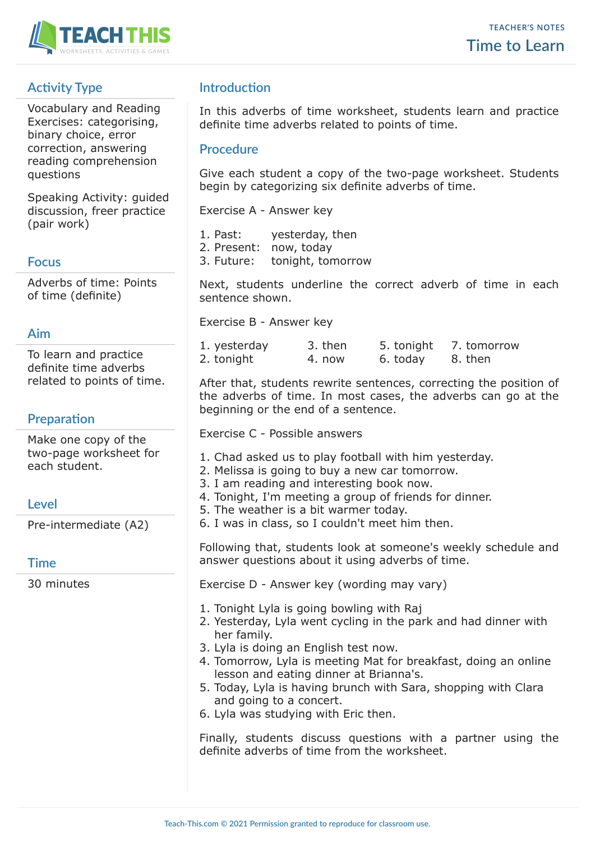

# **Activity Type**

Vocabulary and Reading Exercises: categorising, binary choice, error correction, answering reading comprehension questions

Speaking Activity: guided discussion, freer practice (pair work)

### **Focus**

Adverbs of time: Points of time (definite)

### **Aim**

To learn and practice definite time adverbs related to points of time.

## **Preparation**

Make one copy of the two-page worksheet for each student.

## **Level**

Pre-intermediate (A2)

## **Time**

30 minutes

# **Introduction**

In this adverbs of time worksheet, students learn and practice definite time adverbs related to points of time.

### **Procedure**

Give each student a copy of the two-page worksheet. Students begin by categorizing six definite adverbs of time.

Exercise A - Answer key

- 1. Past: yesterday, then
- 2. Present: now, today
- 3. Future: tonight, tomorrow

Next, students underline the correct adverb of time in each sentence shown.

Exercise B - Answer key

| 1. yesterday | 3. then | 5. tonight | 7. tomorrow |
|--------------|---------|------------|-------------|
| 2. tonight   | 4. now  | 6. today   | 8. then     |

After that, students rewrite sentences, correcting the position of the adverbs of time. In most cases, the adverbs can go at the beginning or the end of a sentence.

Exercise C - Possible answers

- 1. Chad asked us to play football with him yesterday.
- 2. Melissa is going to buy a new car tomorrow.
- 3. I am reading and interesting book now.
- 4. Tonight, I'm meeting a group of friends for dinner.
- 5. The weather is a bit warmer today.
- 6. I was in class, so I couldn't meet him then.

Following that, students look at someone's weekly schedule and answer questions about it using adverbs of time.

Exercise D - Answer key (wording may vary)

- 1. Tonight Lyla is going bowling with Raj
- 2. Yesterday, Lyla went cycling in the park and had dinner with her family.
- 3. Lyla is doing an English test now.
- 4. Tomorrow, Lyla is meeting Mat for breakfast, doing an online lesson and eating dinner at Brianna's.
- 5. Today, Lyla is having brunch with Sara, shopping with Clara and going to a concert.
- 6. Lyla was studying with Eric then.

Finally, students discuss questions with a partner using the definite adverbs of time from the worksheet.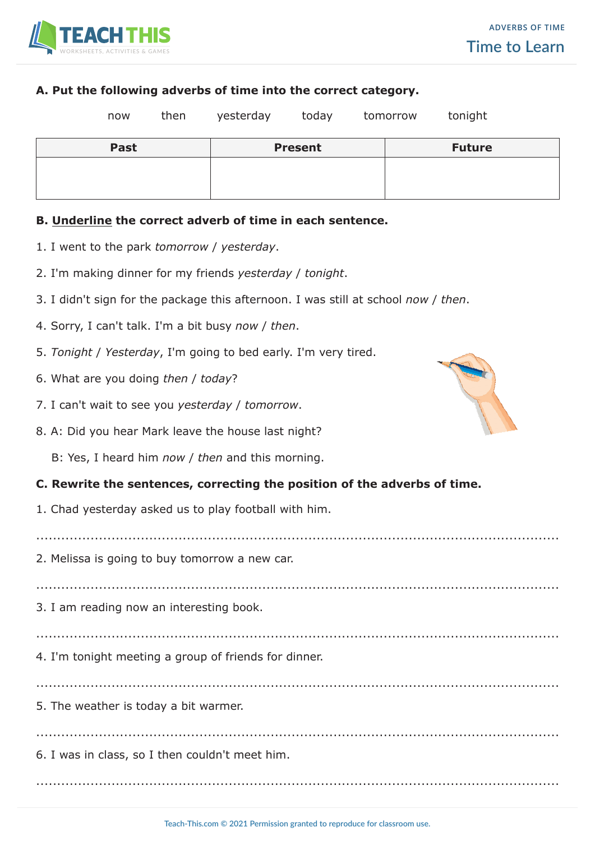

#### **A. Put the following adverbs of time into the correct category.**

| now         | then | yesterday | today          | tomorrow | tonight       |  |
|-------------|------|-----------|----------------|----------|---------------|--|
| <b>Past</b> |      |           | <b>Present</b> |          | <b>Future</b> |  |
|             |      |           |                |          |               |  |
|             |      |           |                |          |               |  |
|             |      |           |                |          |               |  |

#### **B. Underline the correct adverb of time in each sentence.**

- 1. I went to the park *tomorrow* / *yesterday*.
- 2. I'm making dinner for my friends *yesterday* / *tonight*.
- 3. I didn't sign for the package this afternoon. I was still at school *now* / *then*.
- 4. Sorry, I can't talk. I'm a bit busy *now* / *then*.
- 5. *Tonight* / *Yesterday*, I'm going to bed early. I'm very tired.
- 6. What are you doing *then* / *today*?
- 7. I can't wait to see you *yesterday* / *tomorrow*.
- 8. A: Did you hear Mark leave the house last night?
	- B: Yes, I heard him *now* / *then* and this morning.

#### **C. Rewrite the sentences, correcting the position of the adverbs of time.**

1. Chad yesterday asked us to play football with him.

.............................................................................................................................

2. Melissa is going to buy tomorrow a new car.

3. I am reading now an interesting book.

.............................................................................................................................

.............................................................................................................................

.............................................................................................................................

.............................................................................................................................

4. I'm tonight meeting a group of friends for dinner.

5. The weather is today a bit warmer.

6. I was in class, so I then couldn't meet him.



.............................................................................................................................